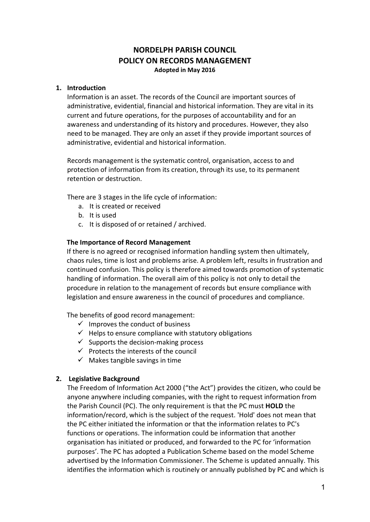# **NORDELPH PARISH COUNCIL POLICY ON RECORDS MANAGEMENT Adopted in May 2016**

#### **1. Introduction**

Information is an asset. The records of the Council are important sources of administrative, evidential, financial and historical information. They are vital in its current and future operations, for the purposes of accountability and for an awareness and understanding of its history and procedures. However, they also need to be managed. They are only an asset if they provide important sources of administrative, evidential and historical information.

Records management is the systematic control, organisation, access to and protection of information from its creation, through its use, to its permanent retention or destruction.

There are 3 stages in the life cycle of information:

- a. It is created or received
- b. It is used
- c. It is disposed of or retained / archived.

#### **The Importance of Record Management**

If there is no agreed or recognised information handling system then ultimately, chaos rules, time is lost and problems arise. A problem left, results in frustration and continued confusion. This policy is therefore aimed towards promotion of systematic handling of information. The overall aim of this policy is not only to detail the procedure in relation to the management of records but ensure compliance with legislation and ensure awareness in the council of procedures and compliance.

The benefits of good record management:

- $\checkmark$  Improves the conduct of business
- $\checkmark$  Helps to ensure compliance with statutory obligations
- $\checkmark$  Supports the decision-making process
- $\checkmark$  Protects the interests of the council
- $\checkmark$  Makes tangible savings in time

#### **2. Legislative Background**

The Freedom of Information Act 2000 ("the Act") provides the citizen, who could be anyone anywhere including companies, with the right to request information from the Parish Council (PC). The only requirement is that the PC must **HOLD** the information/record, which is the subject of the request. 'Hold' does not mean that the PC either initiated the information or that the information relates to PC's functions or operations. The information could be information that another organisation has initiated or produced, and forwarded to the PC for 'information purposes'. The PC has adopted a Publication Scheme based on the model Scheme advertised by the Information Commissioner. The Scheme is updated annually. This identifies the information which is routinely or annually published by PC and which is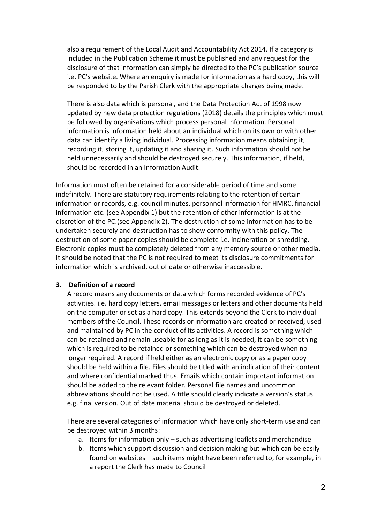also a requirement of the Local Audit and Accountability Act 2014. If a category is included in the Publication Scheme it must be published and any request for the disclosure of that information can simply be directed to the PC's publication source i.e. PC's website. Where an enquiry is made for information as a hard copy, this will be responded to by the Parish Clerk with the appropriate charges being made.

There is also data which is personal, and the Data Protection Act of 1998 now updated by new data protection regulations (2018) details the principles which must be followed by organisations which process personal information. Personal information is information held about an individual which on its own or with other data can identify a living individual. Processing information means obtaining it, recording it, storing it, updating it and sharing it. Such information should not be held unnecessarily and should be destroyed securely. This information, if held, should be recorded in an Information Audit.

Information must often be retained for a considerable period of time and some indefinitely. There are statutory requirements relating to the retention of certain information or records, e.g. council minutes, personnel information for HMRC, financial information etc. (see Appendix 1) but the retention of other information is at the discretion of the PC.(see Appendix 2). The destruction of some information has to be undertaken securely and destruction has to show conformity with this policy. The destruction of some paper copies should be complete i.e. incineration or shredding. Electronic copies must be completely deleted from any memory source or other media. It should be noted that the PC is not required to meet its disclosure commitments for information which is archived, out of date or otherwise inaccessible.

#### **3. Definition of a record**

A record means any documents or data which forms recorded evidence of PC's activities. i.e. hard copy letters, email messages or letters and other documents held on the computer or set as a hard copy. This extends beyond the Clerk to individual members of the Council. These records or information are created or received, used and maintained by PC in the conduct of its activities. A record is something which can be retained and remain useable for as long as it is needed, it can be something which is required to be retained or something which can be destroyed when no longer required. A record if held either as an electronic copy or as a paper copy should be held within a file. Files should be titled with an indication of their content and where confidential marked thus. Emails which contain important information should be added to the relevant folder. Personal file names and uncommon abbreviations should not be used. A title should clearly indicate a version's status e.g. final version. Out of date material should be destroyed or deleted.

There are several categories of information which have only short-term use and can be destroyed within 3 months:

- a. Items for information only such as advertising leaflets and merchandise
- b. Items which support discussion and decision making but which can be easily found on websites – such items might have been referred to, for example, in a report the Clerk has made to Council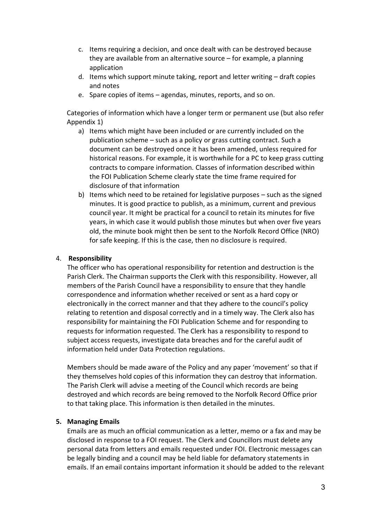- c. Items requiring a decision, and once dealt with can be destroyed because they are available from an alternative source – for example, a planning application
- d. Items which support minute taking, report and letter writing draft copies and notes
- e. Spare copies of items agendas, minutes, reports, and so on.

Categories of information which have a longer term or permanent use (but also refer Appendix 1)

- a) Items which might have been included or are currently included on the publication scheme – such as a policy or grass cutting contract. Such a document can be destroyed once it has been amended, unless required for historical reasons. For example, it is worthwhile for a PC to keep grass cutting contracts to compare information. Classes of information described within the FOI Publication Scheme clearly state the time frame required for disclosure of that information
- b) Items which need to be retained for legislative purposes such as the signed minutes. It is good practice to publish, as a minimum, current and previous council year. It might be practical for a council to retain its minutes for five years, in which case it would publish those minutes but when over five years old, the minute book might then be sent to the Norfolk Record Office (NRO) for safe keeping. If this is the case, then no disclosure is required.

#### 4. **Responsibility**

The officer who has operational responsibility for retention and destruction is the Parish Clerk. The Chairman supports the Clerk with this responsibility. However, all members of the Parish Council have a responsibility to ensure that they handle correspondence and information whether received or sent as a hard copy or electronically in the correct manner and that they adhere to the council's policy relating to retention and disposal correctly and in a timely way. The Clerk also has responsibility for maintaining the FOI Publication Scheme and for responding to requests for information requested. The Clerk has a responsibility to respond to subject access requests, investigate data breaches and for the careful audit of information held under Data Protection regulations.

Members should be made aware of the Policy and any paper 'movement' so that if they themselves hold copies of this information they can destroy that information. The Parish Clerk will advise a meeting of the Council which records are being destroyed and which records are being removed to the Norfolk Record Office prior to that taking place. This information is then detailed in the minutes.

#### **5. Managing Emails**

Emails are as much an official communication as a letter, memo or a fax and may be disclosed in response to a FOI request. The Clerk and Councillors must delete any personal data from letters and emails requested under FOI. Electronic messages can be legally binding and a council may be held liable for defamatory statements in emails. If an email contains important information it should be added to the relevant